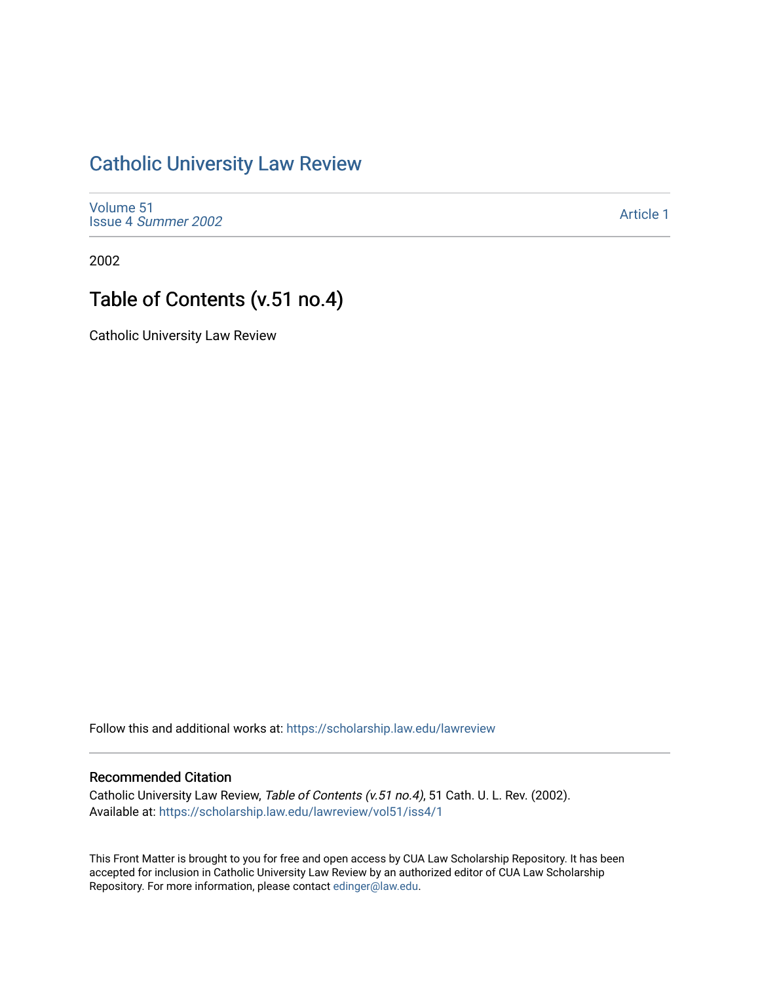## [Catholic University Law Review](https://scholarship.law.edu/lawreview)

[Volume 51](https://scholarship.law.edu/lawreview/vol51) Issue 4 [Summer 2002](https://scholarship.law.edu/lawreview/vol51/iss4) 

[Article 1](https://scholarship.law.edu/lawreview/vol51/iss4/1) 

2002

## Table of Contents (v.51 no.4)

Catholic University Law Review

Follow this and additional works at: [https://scholarship.law.edu/lawreview](https://scholarship.law.edu/lawreview?utm_source=scholarship.law.edu%2Flawreview%2Fvol51%2Fiss4%2F1&utm_medium=PDF&utm_campaign=PDFCoverPages)

## Recommended Citation

Catholic University Law Review, Table of Contents (v.51 no.4), 51 Cath. U. L. Rev. (2002). Available at: [https://scholarship.law.edu/lawreview/vol51/iss4/1](https://scholarship.law.edu/lawreview/vol51/iss4/1?utm_source=scholarship.law.edu%2Flawreview%2Fvol51%2Fiss4%2F1&utm_medium=PDF&utm_campaign=PDFCoverPages)

This Front Matter is brought to you for free and open access by CUA Law Scholarship Repository. It has been accepted for inclusion in Catholic University Law Review by an authorized editor of CUA Law Scholarship Repository. For more information, please contact [edinger@law.edu.](mailto:edinger@law.edu)